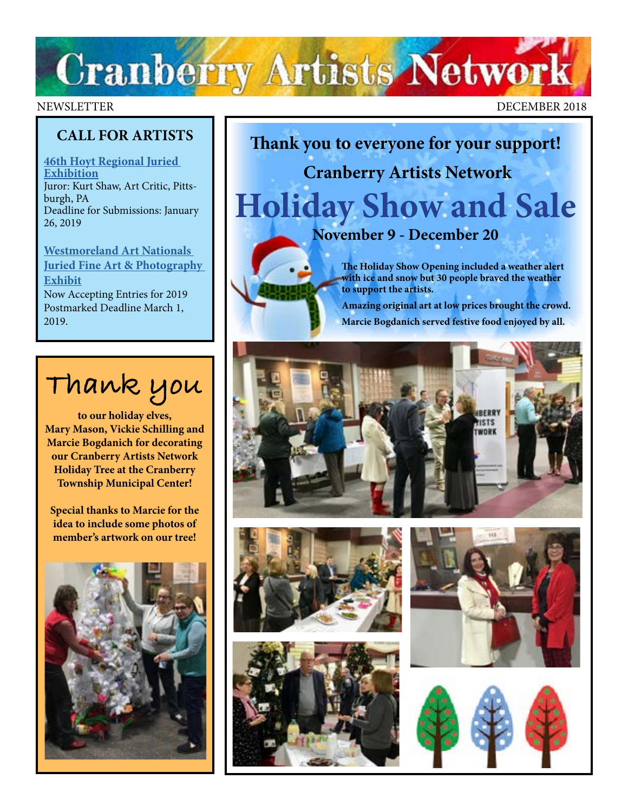# **Cranberry Artists Network**

#### NEWSLETTER DECEMBER 2018

## **CALL FOR ARTISTS**

**[46th Hoyt Regional Juried](http://www.hoytartcenter.org/callforartists)  [Exhibition](http://www.hoytartcenter.org/callforartists)** Juror: Kurt Shaw, Art Critic, Pittsburgh, PA Deadline for Submissions: January 26, 2019

**[Westmoreland Art Nationals](https://artsandheritage.com/the-arts/art-nationals/)  [Juried Fine Art & Photography](https://artsandheritage.com/the-arts/art-nationals/)  [Exhibit](https://artsandheritage.com/the-arts/art-nationals/)** [Now Accepting Entries for 2019](https://artsandheritage.com/the-arts/art-nationals/) Postmarked Deadline March 1, 2019.



**to our holiday elves, Mary Mason, Vickie Schilling and Marcie Bogdanich for decorating our Cranberry Artists Network Holiday Tree at the Cranberry Township Municipal Center!** 

**Special thanks to Marcie for the idea to include some photos of member's artwork on our tree!**



**Thank you to everyone for your support! Cranberry Artists Network Holiday Show and Sale November 9 - December 20**

> **The Holiday Show Opening included a weather alert with ice and snow but 30 people braved the weather to support the artists.**

 **Amazing original art at low prices brought the crowd. Marcie Bogdanich served festive food enjoyed by all.**









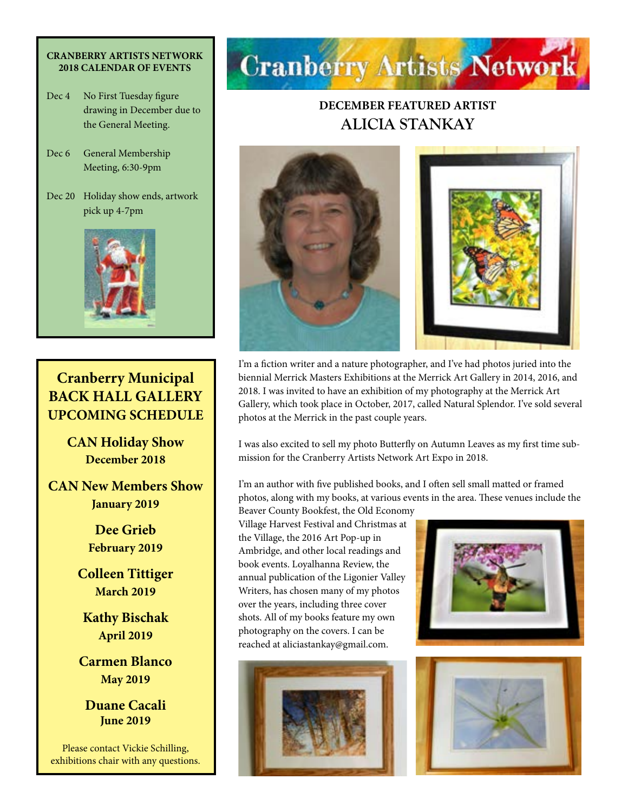#### **CRANBERRY ARTISTS NETWORK 2018 CALENDAR OF EVENTS**

- Dec 4 No First Tuesday figure drawing in December due to the General Meeting.
- Dec 6 General Membership Meeting, 6:30-9pm
- Dec 20 Holiday show ends, artwork pick up 4-7pm



# **Cranberry Municipal BACK HALL GALLERY UPCOMING SCHEDULE**

**CAN Holiday Show December 2018**

**CAN New Members Show January 2019**

> **Dee Grieb February 2019**

**Colleen Tittiger March 2019**

**Kathy Bischak April 2019**

**Carmen Blanco May 2019**

**Duane Cacali June 2019**

Please contact Vickie Schilling, exhibitions chair with any questions.



# **DECEMBER FEATURED ARTIST ALICIA STANKAY**



I'm a fiction writer and a nature photographer, and I've had photos juried into the biennial Merrick Masters Exhibitions at the Merrick Art Gallery in 2014, 2016, and 2018. I was invited to have an exhibition of my photography at the Merrick Art Gallery, which took place in October, 2017, called Natural Splendor. I've sold several photos at the Merrick in the past couple years.

I was also excited to sell my photo Butterfly on Autumn Leaves as my first time submission for the Cranberry Artists Network Art Expo in 2018.

I'm an author with five published books, and I often sell small matted or framed photos, along with my books, at various events in the area. These venues include the

Beaver County Bookfest, the Old Economy Village Harvest Festival and Christmas at the Village, the 2016 Art Pop-up in Ambridge, and other local readings and book events. Loyalhanna Review, the annual publication of the Ligonier Valley Writers, has chosen many of my photos over the years, including three cover shots. All of my books feature my own photography on the covers. I can be reached at aliciastankay@gmail.com.





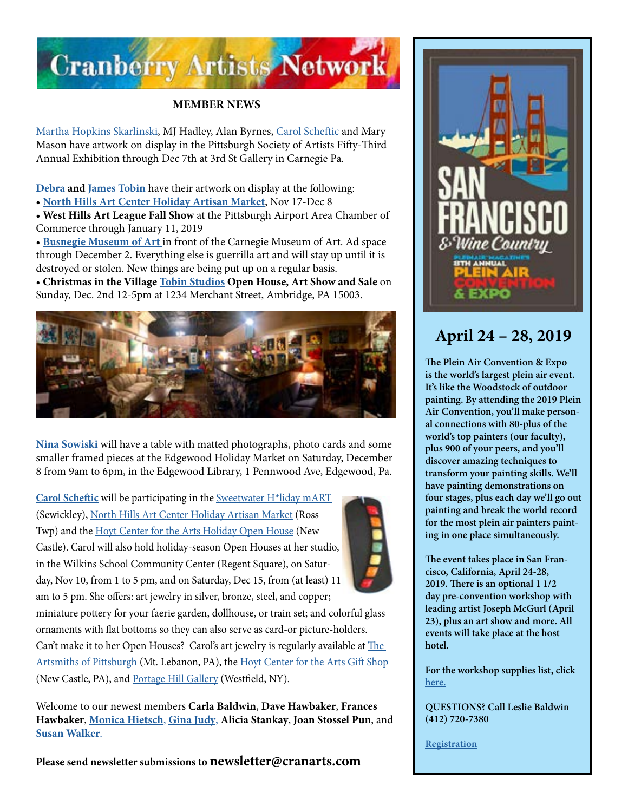

### **MEMBER NEWS**

[Martha Hopkins Skarlinski,](https://www.marthahopkinsskarlinski.com/) MJ Hadley, Alan Byrnes, [Carol Scheftic](https://convergentseries.wordpress.com/) and Mary Mason have artwork on display in the Pittsburgh Society of Artists Fifty-Third Annual Exhibition through Dec 7th at 3rd St Gallery in Carnegie Pa.

**[Debra](http://debratobinart.com) and [James Tobin](http://jamestobinart.com)** have their artwork on display at the following: • **[North Hills Art Center Holiday Artisan Market](http://www.northhillsartcenter.org/)**, Nov 17-Dec 8

• **West Hills Art League Fall Show** at the Pittsburgh Airport Area Chamber of Commerce through January 11, 2019

• **[Busnegie Museum of Art](https://www.facebook.com/busnegie/)** in front of the Carnegie Museum of Art. Ad space through December 2. Everything else is guerrilla art and will stay up until it is destroyed or stolen. New things are being put up on a regular basis.

• **Christmas in the Village [Tobin Studios](https://www.facebook.com/TobinStudiosArtandGuitar) Open House, Art Show and Sale** on Sunday, Dec. 2nd 12-5pm at 1234 Merchant Street, Ambridge, PA 15003.



**[Nina Sowiski](http://www.ninasowiskiphoto.com/contact.html)** will have a table with matted photographs, photo cards and some smaller framed pieces at the Edgewood Holiday Market on Saturday, December 8 from 9am to 6pm, in the Edgewood Library, 1 Pennwood Ave, Edgewood, Pa.

**[Carol Scheftic](https://convergentseries.wordpress.com/)** will be participating in the [Sweetwater H\\*liday mART](http://sweetwaterartcenter.org/holiday-mart/) (Sewickley), [North Hills Art Center Holiday Artisan Market](http://www.northhillsartcenter.com/) (Ross Twp) and the [Hoyt Center for the Arts Holiday Open House](http://www.hoytartcenter.org/holiday-open-house/) (New Castle). Carol will also hold holiday-season Open Houses at her studio, in the Wilkins School Community Center (Regent Square), on Saturday, Nov 10, from 1 to 5 pm, and on Saturday, Dec 15, from (at least) 11 am to 5 pm. She offers: art jewelry in silver, bronze, steel, and copper;



miniature pottery for your faerie garden, dollhouse, or train set; and colorful glass ornaments with flat bottoms so they can also serve as card-or picture-holders. Can't make it to her Open Houses? Carol's art jewelry is regularly available at The [Artsmiths of Pittsburgh](https://artsmithspgh.com/) (Mt. Lebanon, PA), the [Hoyt Center for the Arts Gift Shop](https://www.hoytartcenter.org/gift-shop/) (New Castle, PA), and [Portage Hill Gallery](https://www.portagehillgallery.com/gallery) (Westfield, NY).

Welcome to our newest members **Carla Baldwin**, **Dave Hawbaker**, **Frances Hawbaker**, **[Monica Hietsch](http://www.monicahietsch.com)**, **[Gina Judy](https://www.facebook.com/gina.judy.31)**, **Alicia Stankay**, **Joan Stossel Pun**, and **[Susan Walker](http://susanwalkerart.com)**.

**Please send newsletter submissions to newsletter@cranarts.com**



# **April 24 – 28, 2019**

**The Plein Air Convention & Expo is the world's largest plein air event. It's like the Woodstock of outdoor painting. By attending the 2019 Plein Air Convention, you'll make personal connections with 80-plus of the world's top painters (our faculty), plus 900 of your peers, and you'll discover amazing techniques to transform your painting skills. We'll have painting demonstrations on four stages, plus each day we'll go out painting and break the world record for the most plein air painters painting in one place simultaneously.**

**The event takes place in San Francisco, California, April 24-28, 2019. There is an optional 1 1/2 day pre-convention workshop with leading artist Joseph McGurl (April 23), plus an art show and more. All events will take place at the host hotel.**

**For the workshop supplies list, click [here.](https://www.pittsburghwatercolorsociety.com/resources/Documents/Workshops/PWS_2018_Carter%20Watercolor%20Materials%20List.pdf)** 

**QUESTIONS? Call Leslie Baldwin (412) 720-7380**

**[Registration](https://streamlinepublishing.com/s/2019-plein-air-convention-and-expo-2/)**